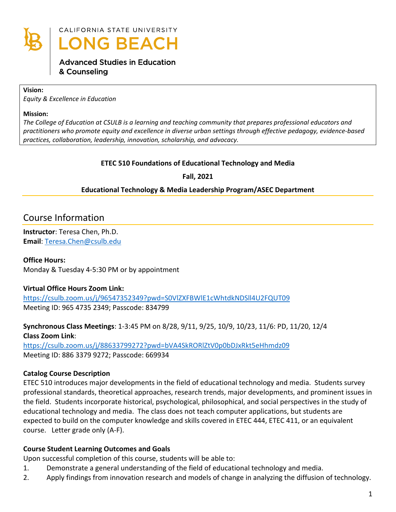

# CALIFORNIA STATE UNIVERSITY **ONG BEACH**

## **Advanced Studies in Education** & Counseling

#### **Vision:**

*Equity & Excellence in Education*

#### **Mission:**

*The College of Education at CSULB is a learning and teaching community that prepares professional educators and practitioners who promote equity and excellence in diverse urban settings through effective pedagogy, evidence-based practices, collaboration, leadership, innovation, scholarship, and advocacy.*

### **ETEC 510 Foundations of Educational Technology and Media**

**Fall, 2021**

### **Educational Technology & Media Leadership Program/ASEC Department**

# Course Information

**Instructor**: Teresa Chen, Ph.D. **Email**: [Teresa.Chen@csulb.edu](mailto:Teresa.Chen@csulb.edu)

### **Office Hours:**

Monday & Tuesday 4-5:30 PM or by appointment

### **Virtual Office Hours Zoom Link:**

<https://csulb.zoom.us/j/96547352349?pwd=S0VlZXFBWlE1cWhtdkNDSll4U2FQUT09> Meeting ID: 965 4735 2349; Passcode: 834799

### **Synchronous Class Meetings**: 1-3:45 PM on 8/28, 9/11, 9/25, 10/9, 10/23, 11/6: PD, 11/20, 12/4 **Class Zoom Link**:

<https://csulb.zoom.us/j/88633799272?pwd=bVA4SkRORlZtV0p0bDJxRkt5eHhmdz09> Meeting ID: 886 3379 9272; Passcode: 669934

## **Catalog Course Description**

ETEC 510 introduces major developments in the field of educational technology and media. Students survey professional standards, theoretical approaches, research trends, major developments, and prominent issues in the field. Students incorporate historical, psychological, philosophical, and social perspectives in the study of educational technology and media. The class does not teach computer applications, but students are expected to build on the computer knowledge and skills covered in ETEC 444, ETEC 411, or an equivalent course. Letter grade only (A-F).

### **Course Student Learning Outcomes and Goals**

Upon successful completion of this course, students will be able to:

- 1. Demonstrate a general understanding of the field of educational technology and media.
- 2. Apply findings from innovation research and models of change in analyzing the diffusion of technology.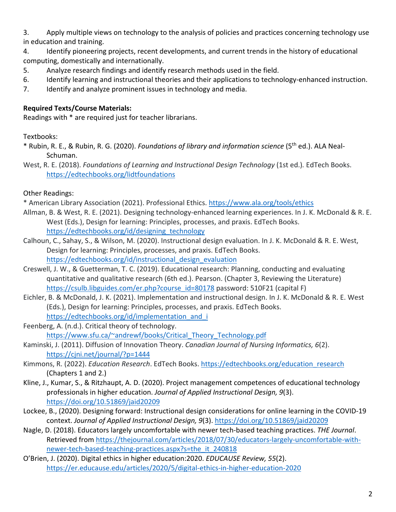3. Apply multiple views on technology to the analysis of policies and practices concerning technology use in education and training.

4. Identify pioneering projects, recent developments, and current trends in the history of educational computing, domestically and internationally.

- 5. Analyze research findings and identify research methods used in the field.
- 6. Identify learning and instructional theories and their applications to technology-enhanced instruction.
- 7. Identify and analyze prominent issues in technology and media.

## **Required Texts/Course Materials:**

Readings with \* are required just for teacher librarians.

## Textbooks:

- \* Rubin, R. E., & Rubin, R. G. (2020). *Foundations of library and information science* (5th ed.). ALA Neal-Schuman.
- West, R. E. (2018). *Foundations of Learning and Instructional Design Technology* (1st ed.)*.* EdTech Books. <https://edtechbooks.org/lidtfoundations>

## Other Readings:

\* American Library Association (2021). Professional Ethics.<https://www.ala.org/tools/ethics>

- Allman, B. & West, R. E. (2021). Designing technology-enhanced learning experiences. In J. K. McDonald & R. E. West (Eds.), Design for learning: Principles, processes, and praxis. EdTech Books. [https://edtechbooks.org/id/designing\\_technology](https://edtechbooks.org/id/designing_technology)
- Calhoun, C., Sahay, S., & Wilson, M. (2020). Instructional design evaluation. In J. K. McDonald & R. E. West, Design for learning: Principles, processes, and praxis. EdTech Books. [https://edtechbooks.org/id/instructional\\_design\\_evaluation](https://edtechbooks.org/id/instructional_design_evaluation)
- Creswell, J. W., & Guetterman, T. C. (2019). Educational research: Planning, conducting and evaluating quantitative and qualitative research (6th ed.). Pearson. (Chapter 3, Reviewing the Literature) [https://csulb.libguides.com/er.php?course\\_id=80178](https://csulb.libguides.com/er.php?course_id=80178) password: 510F21 (capital F)
- Eichler, B. & McDonald, J. K. (2021). Implementation and instructional design. In J. K. McDonald & R. E. West (Eds.), Design for learning: Principles, processes, and praxis. EdTech Books. [https://edtechbooks.org/id/implementation\\_and\\_i](https://edtechbooks.org/id/implementation_and_i)
- Feenberg, A. (n.d.). Critical theory of technology. [https://www.sfu.ca/~andrewf/books/Critical\\_Theory\\_Technology.pdf](https://www.sfu.ca/%7Eandrewf/books/Critical_Theory_Technology.pdf)
- Kaminski, J. (2011). Diffusion of Innovation Theory. *Canadian Journal of Nursing Informatics, 6*(2). <https://cjni.net/journal/?p=1444>
- Kimmons, R. (2022). *Education Research*. EdTech Books. [https://edtechbooks.org/education\\_research](https://edtechbooks.org/education_research) (Chapters 1 and 2.)
- Kline, J., Kumar, S., & Ritzhaupt, A. D. (2020). Project management competences of educational technology professionals in higher education. *Journal of Applied Instructional Design, 9*(3). <https://doi.org/10.51869/jaid20209>
- Lockee, B., (2020). Designing forward: Instructional design considerations for online learning in the COVID-19 context. *Journal of Applied Instructional Design, 9*(3).<https://doi.org/10.51869/jaid20209>
- Nagle, D. (2018). Educators largely uncomfortable with newer tech-based teaching practices. *THE Journal*. Retrieved from [https://thejournal.com/articles/2018/07/30/educators-largely-uncomfortable-with](https://thejournal.com/articles/2018/07/30/educators-largely-uncomfortable-with-newer-tech-based-teaching-practices.aspx?s=the_it_240818)[newer-tech-based-teaching-practices.aspx?s=the\\_it\\_240818](https://thejournal.com/articles/2018/07/30/educators-largely-uncomfortable-with-newer-tech-based-teaching-practices.aspx?s=the_it_240818)
- O'Brien, J. (2020). Digital ethics in higher education:2020. *EDUCAUSE Review, 55*(2). <https://er.educause.edu/articles/2020/5/digital-ethics-in-higher-education-2020>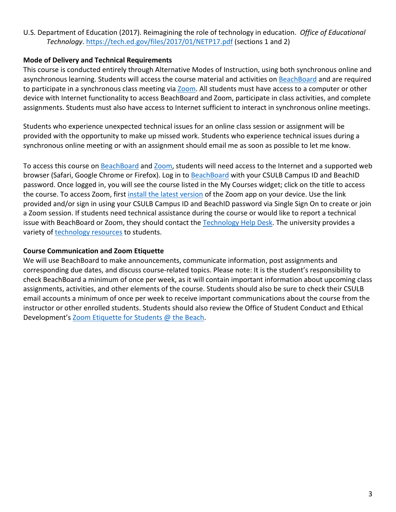### U.S. Department of Education (2017). Reimagining the role of technology in education. *Office of Educational Technology*.<https://tech.ed.gov/files/2017/01/NETP17.pdf> (sections 1 and 2)

### **Mode of Delivery and Technical Requirements**

This course is conducted entirely through Alternative Modes of Instruction, using both synchronous online and asynchronous learning. Students will access the course material and activities on [BeachBoard](https://bbcsulb.desire2learn.com/d2l/home) and are required to participate in a synchronous class meeting via [Zoom.](https://csulb.zoom.us/meeting) All students must have access to a computer or other device with Internet functionality to access BeachBoard and Zoom, participate in class activities, and complete assignments. Students must also have access to Internet sufficient to interact in synchronous online meetings.

Students who experience unexpected technical issues for an online class session or assignment will be provided with the opportunity to make up missed work. Students who experience technical issues during a synchronous online meeting or with an assignment should email me as soon as possible to let me know.

To access this course on [BeachBoard](https://bbcsulb.desire2learn.com/d2l/home) and [Zoom,](https://csulb.zoom.us/meeting) students will need access to the Internet and a supported web browser (Safari, Google Chrome or Firefox). Log in to [BeachBoard](https://bbcsulb.desire2learn.com/) with your CSULB Campus ID and BeachID password. Once logged in, you will see the course listed in the My Courses widget; click on the title to access the course. To access Zoom, first [install the latest version](https://zoom.us/download) of the Zoom app on your device. Use the link provided and/or sign in using your CSULB Campus ID and BeachID password via Single Sign On to create or join a Zoom session. If students need technical assistance during the course or would like to report a technical issue with BeachBoard or Zoom, they should contact the [Technology Help Desk.](https://www.csulb.edu/academic-technology-services/academic-technology-resources-for-students) The university provides a variety of [technology resources](https://www.csulb.edu/academic-technology-services/academic-technology-resources-for-students) to students.

### **Course Communication and Zoom Etiquette**

We will use BeachBoard to make announcements, communicate information, post assignments and corresponding due dates, and discuss course-related topics. Please note: It is the student's responsibility to check BeachBoard a minimum of once per week, as it will contain important information about upcoming class assignments, activities, and other elements of the course. Students should also be sure to check their CSULB email accounts a minimum of once per week to receive important communications about the course from the instructor or other enrolled students. Students should also review the Office of Student Conduct and Ethical Development's [Zoom Etiquette for Students @ the Beach.](https://www.csulb.edu/sites/default/files/u48211/zoom_etiquette_for_students.pdf)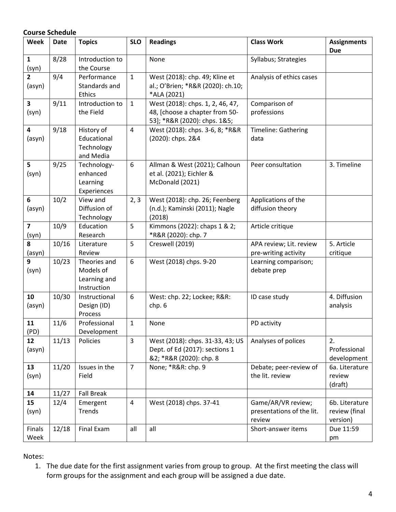|                                   | <b>Course Schedule</b> |                                                          |                |                                                                                                    |                                                           |                                             |  |  |
|-----------------------------------|------------------------|----------------------------------------------------------|----------------|----------------------------------------------------------------------------------------------------|-----------------------------------------------------------|---------------------------------------------|--|--|
| Week                              | <b>Date</b>            | <b>Topics</b>                                            | <b>SLO</b>     | <b>Readings</b>                                                                                    | <b>Class Work</b>                                         | <b>Assignments</b><br><b>Due</b>            |  |  |
| $\mathbf{1}$<br>(syn)             | 8/28                   | Introduction to<br>the Course                            |                | None                                                                                               | Syllabus; Strategies                                      |                                             |  |  |
| $\overline{2}$<br>(asyn)          | 9/4                    | Performance<br>Standards and<br>Ethics                   | $\mathbf{1}$   | West (2018): chp. 49; Kline et<br>al.; O'Brien; *R&R (2020): ch.10;<br>*ALA (2021)                 | Analysis of ethics cases                                  |                                             |  |  |
| $\overline{\mathbf{3}}$<br>(syn)  | 9/11                   | Introduction to<br>the Field                             | $\mathbf{1}$   | West (2018): chps. 1, 2, 46, 47,<br>48, [choose a chapter from 50-<br>53]; *R&R (2020): chps. 1&5; | Comparison of<br>professions                              |                                             |  |  |
| $\overline{\mathbf{4}}$<br>(asyn) | 9/18                   | History of<br>Educational<br>Technology<br>and Media     | $\overline{4}$ | West (2018): chps. 3-6, 8; *R&R<br>(2020): chps. 2&4                                               | Timeline: Gathering<br>data                               |                                             |  |  |
| 5<br>(syn)                        | 9/25                   | Technology-<br>enhanced<br>Learning<br>Experiences       | 6              | Allman & West (2021); Calhoun<br>et al. (2021); Eichler &<br>McDonald (2021)                       | Peer consultation                                         | 3. Timeline                                 |  |  |
| 6<br>(asyn)                       | 10/2                   | View and<br>Diffusion of<br>Technology                   | 2, 3           | West (2018): chp. 26; Feenberg<br>(n.d.); Kaminski (2011); Nagle<br>(2018)                         | Applications of the<br>diffusion theory                   |                                             |  |  |
| $\overline{\mathbf{z}}$<br>(syn)  | 10/9                   | Education<br>Research                                    | 5              | Kimmons (2022): chaps 1 & 2;<br>*R&R (2020): chp. 7                                                | Article critique                                          |                                             |  |  |
| 8<br>(asyn)                       | 10/16                  | Literature<br>Review                                     | 5              | Creswell (2019)                                                                                    | APA review; Lit. review<br>pre-writing activity           | 5. Article<br>critique                      |  |  |
| 9<br>(syn)                        | 10/23                  | Theories and<br>Models of<br>Learning and<br>Instruction | 6              | West (2018) chps. 9-20                                                                             | Learning comparison;<br>debate prep                       |                                             |  |  |
| 10<br>(asyn)                      | 10/30                  | Instructional<br>Design (ID)<br>Process                  | 6              | West: chp. 22; Lockee; R&R:<br>chp. 6                                                              | ID case study                                             | 4. Diffusion<br>analysis                    |  |  |
| 11<br>(PD)                        | 11/6                   | Professional<br>Development                              | $\mathbf{1}$   | None                                                                                               | PD activity                                               |                                             |  |  |
| 12<br>(asyn)                      | 11/13                  | Policies                                                 | $\overline{3}$ | West (2018): chps. 31-33, 43; US<br>Dept. of Ed (2017): sections 1<br>&2; *R&R (2020): chp. 8      | Analyses of polices                                       | 2.<br>Professional<br>development           |  |  |
| 13<br>(syn)                       | 11/20                  | Issues in the<br>Field                                   | $\overline{7}$ | None; *R&R: chp. 9                                                                                 | Debate; peer-review of<br>the lit. review                 | 6a. Literature<br>review<br>(draft)         |  |  |
| 14                                | 11/27                  | <b>Fall Break</b>                                        |                |                                                                                                    |                                                           |                                             |  |  |
| 15<br>(syn)                       | 12/4                   | Emergent<br>Trends                                       | $\overline{4}$ | West (2018) chps. 37-41                                                                            | Game/AR/VR review;<br>presentations of the lit.<br>review | 6b. Literature<br>review (final<br>version) |  |  |
| Finals<br>Week                    | 12/18                  | Final Exam                                               | all            | all                                                                                                | Short-answer items                                        | Due 11:59<br>pm                             |  |  |

Notes:

1. The due date for the first assignment varies from group to group. At the first meeting the class will form groups for the assignment and each group will be assigned a due date.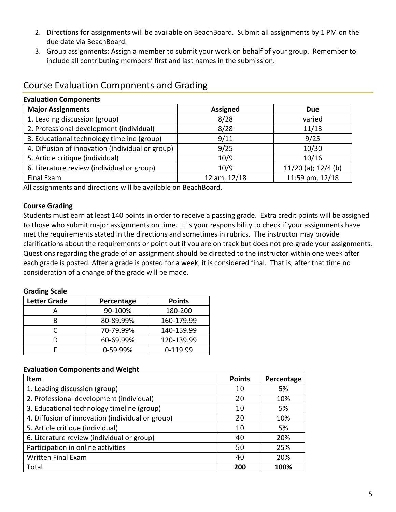- 2. Directions for assignments will be available on BeachBoard. Submit all assignments by 1 PM on the due date via BeachBoard.
- 3. Group assignments: Assign a member to submit your work on behalf of your group. Remember to include all contributing members' first and last names in the submission.

# Course Evaluation Components and Grading

| Evaluation components                            |                 |                         |  |  |  |
|--------------------------------------------------|-----------------|-------------------------|--|--|--|
| <b>Major Assignments</b>                         | <b>Assigned</b> | <b>Due</b>              |  |  |  |
| 1. Leading discussion (group)                    | 8/28            | varied                  |  |  |  |
| 2. Professional development (individual)         | 8/28            | 11/13                   |  |  |  |
| 3. Educational technology timeline (group)       | 9/11            | 9/25                    |  |  |  |
| 4. Diffusion of innovation (individual or group) | 9/25            | 10/30                   |  |  |  |
| 5. Article critique (individual)                 | 10/9            | 10/16                   |  |  |  |
| 6. Literature review (individual or group)       | 10/9            | $11/20$ (a); $12/4$ (b) |  |  |  |
| Final Exam                                       | 12 am, 12/18    | 11:59 pm, 12/18         |  |  |  |

All assignments and directions will be available on BeachBoard.

#### **Course Grading**

**Evaluation Components**

Students must earn at least 140 points in order to receive a passing grade. Extra credit points will be assigned to those who submit major assignments on time. It is your responsibility to check if your assignments have met the requirements stated in the directions and sometimes in rubrics. The instructor may provide clarifications about the requirements or point out if you are on track but does not pre-grade your assignments. Questions regarding the grade of an assignment should be directed to the instructor within one week after each grade is posted. After a grade is posted for a week, it is considered final. That is, after that time no consideration of a change of the grade will be made.

#### **Grading Scale**

| <b>Letter Grade</b> | Percentage | <b>Points</b> |  |
|---------------------|------------|---------------|--|
|                     | 90-100%    | 180-200       |  |
| R                   | 80-89.99%  | 160-179.99    |  |
|                     | 70-79.99%  | 140-159.99    |  |
|                     | 60-69.99%  | 120-139.99    |  |
|                     | 0-59.99%   | 0-119.99      |  |

#### **Evaluation Components and Weight**

| Item                                             | <b>Points</b> | Percentage |
|--------------------------------------------------|---------------|------------|
| 1. Leading discussion (group)                    | 10            | 5%         |
| 2. Professional development (individual)         | 20            | 10%        |
| 3. Educational technology timeline (group)       | 10            | 5%         |
| 4. Diffusion of innovation (individual or group) | 20            | 10%        |
| 5. Article critique (individual)                 | 10            | 5%         |
| 6. Literature review (individual or group)       | 40            | 20%        |
| Participation in online activities               | 50            | 25%        |
| <b>Written Final Exam</b>                        | 40            | 20%        |
| Total                                            | 200           | 100%       |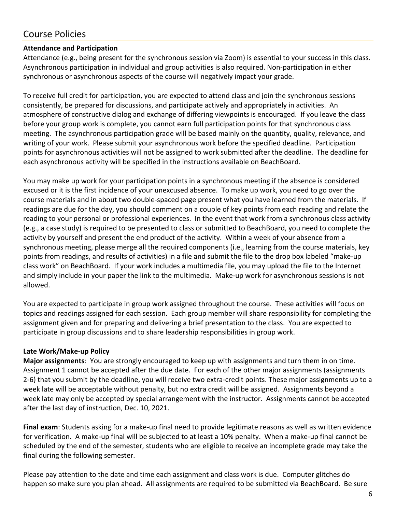# Course Policies

### **Attendance and Participation**

Attendance (e.g., being present for the synchronous session via Zoom) is essential to your success in this class. Asynchronous participation in individual and group activities is also required. Non-participation in either synchronous or asynchronous aspects of the course will negatively impact your grade.

To receive full credit for participation, you are expected to attend class and join the synchronous sessions consistently, be prepared for discussions, and participate actively and appropriately in activities. An atmosphere of constructive dialog and exchange of differing viewpoints is encouraged. If you leave the class before your group work is complete, you cannot earn full participation points for that synchronous class meeting. The asynchronous participation grade will be based mainly on the quantity, quality, relevance, and writing of your work. Please submit your asynchronous work before the specified deadline. Participation points for asynchronous activities will not be assigned to work submitted after the deadline. The deadline for each asynchronous activity will be specified in the instructions available on BeachBoard.

You may make up work for your participation points in a synchronous meeting if the absence is considered excused or it is the first incidence of your unexcused absence. To make up work, you need to go over the course materials and in about two double-spaced page present what you have learned from the materials. If readings are due for the day, you should comment on a couple of key points from each reading and relate the reading to your personal or professional experiences. In the event that work from a synchronous class activity (e.g., a case study) is required to be presented to class or submitted to BeachBoard, you need to complete the activity by yourself and present the end product of the activity. Within a week of your absence from a synchronous meeting, please merge all the required components (i.e., learning from the course materials, key points from readings, and results of activities) in a file and submit the file to the drop box labeled "make-up class work" on BeachBoard. If your work includes a multimedia file, you may upload the file to the Internet and simply include in your paper the link to the multimedia. Make-up work for asynchronous sessions is not allowed.

You are expected to participate in group work assigned throughout the course. These activities will focus on topics and readings assigned for each session. Each group member will share responsibility for completing the assignment given and for preparing and delivering a brief presentation to the class. You are expected to participate in group discussions and to share leadership responsibilities in group work.

### **Late Work/Make-up Policy**

**Major assignments**: You are strongly encouraged to keep up with assignments and turn them in on time. Assignment 1 cannot be accepted after the due date. For each of the other major assignments (assignments 2-6) that you submit by the deadline, you will receive two extra-credit points. These major assignments up to a week late will be acceptable without penalty, but no extra credit will be assigned. Assignments beyond a week late may only be accepted by special arrangement with the instructor. Assignments cannot be accepted after the last day of instruction, Dec. 10, 2021.

**Final exam**: Students asking for a make-up final need to provide legitimate reasons as well as written evidence for verification. A make-up final will be subjected to at least a 10% penalty. When a make-up final cannot be scheduled by the end of the semester, students who are eligible to receive an incomplete grade may take the final during the following semester.

Please pay attention to the date and time each assignment and class work is due. Computer glitches do happen so make sure you plan ahead. All assignments are required to be submitted via BeachBoard. Be sure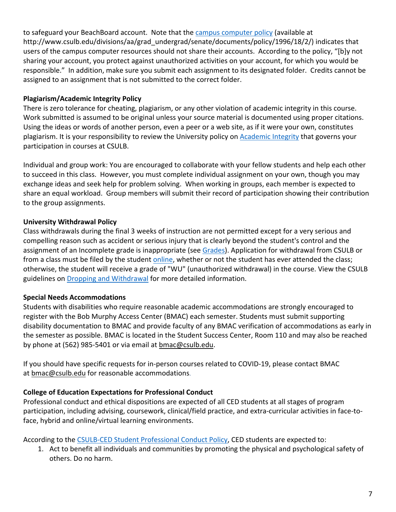to safeguard your BeachBoard account. Note that the [campus computer policy](http://www.csulb.edu/divisions/aa/grad_undergrad/senate/documents/policy/1996/18/2/) (available at http://www.csulb.edu/divisions/aa/grad\_undergrad/senate/documents/policy/1996/18/2/) indicates that users of the campus computer resources should not share their accounts. According to the policy, "[b]y not sharing your account, you protect against unauthorized activities on your account, for which you would be responsible." In addition, make sure you submit each assignment to its designated folder. Credits cannot be assigned to an assignment that is not submitted to the correct folder.

### **Plagiarism/Academic Integrity Policy**

There is zero tolerance for cheating, plagiarism, or any other violation of academic integrity in this course. Work submitted is assumed to be original unless your source material is documented using proper citations. Using the ideas or words of another person, even a peer or a web site, as if it were your own, constitutes plagiarism. It is your responsibility to review the University policy on [Academic Integrity](https://www.csulb.edu/academic-senate/policy-academic-integrity-regarding-cheating-and-plagiarism) that governs your participation in courses at CSULB.

Individual and group work: You are encouraged to collaborate with your fellow students and help each other to succeed in this class. However, you must complete individual assignment on your own, though you may exchange ideas and seek help for problem solving. When working in groups, each member is expected to share an equal workload. Group members will submit their record of participation showing their contribution to the group assignments.

## **University Withdrawal Policy**

Class withdrawals during the final 3 weeks of instruction are not permitted except for a very serious and compelling reason such as accident or serious injury that is clearly beyond the student's control and the assignment of an Incomplete grade is inappropriate (see [Grades\)](http://www.csulb.edu/depts/enrollment/student_academic_records/grading.html). Application for withdrawal from CSULB or from a class must be filed by the student [online,](https://www.csulb.edu/student-records/dropping-and-withdrawing) whether or not the student has ever attended the class; otherwise, the student will receive a grade of "WU" (unauthorized withdrawal) in the course. View the CSULB guidelines on [Dropping and Withdrawal](https://www.csulb.edu/student-records/dropping-and-withdrawing#:%7E:text=Policy,after%20separation%20from%20the%20university.) for more detailed information.

## **Special Needs Accommodations**

Students with disabilities who require reasonable academic accommodations are strongly encouraged to register with the Bob Murphy Access Center (BMAC) each semester. Students must submit supporting disability documentation to BMAC and provide faculty of any BMAC verification of accommodations as early in the semester as possible. BMAC is located in the Student Success Center, Room 110 and may also be reached by phone at (562) 985-5401 or via email at [bmac@csulb.edu.](mailto:bmac@csulb.edu)

If you should have specific requests for in-person courses related to COVID-19, please contact BMAC at **[bmac@csulb.edu](mailto:bmac@csulb.edu)** for reasonable accommodations.

## **College of Education Expectations for Professional Conduct**

Professional conduct and ethical dispositions are expected of all CED students at all stages of program participation, including advising, coursework, clinical/field practice, and extra-curricular activities in face-toface, hybrid and online/virtual learning environments.

According to the [CSULB-CED Student Professional Conduct Policy,](https://www.csulb.edu/sites/default/files/u48211/final-ced_student_professional_conduct_policy-1-2021.pdf) CED students are expected to:

1. Act to benefit all individuals and communities by promoting the physical and psychological safety of others. Do no harm.